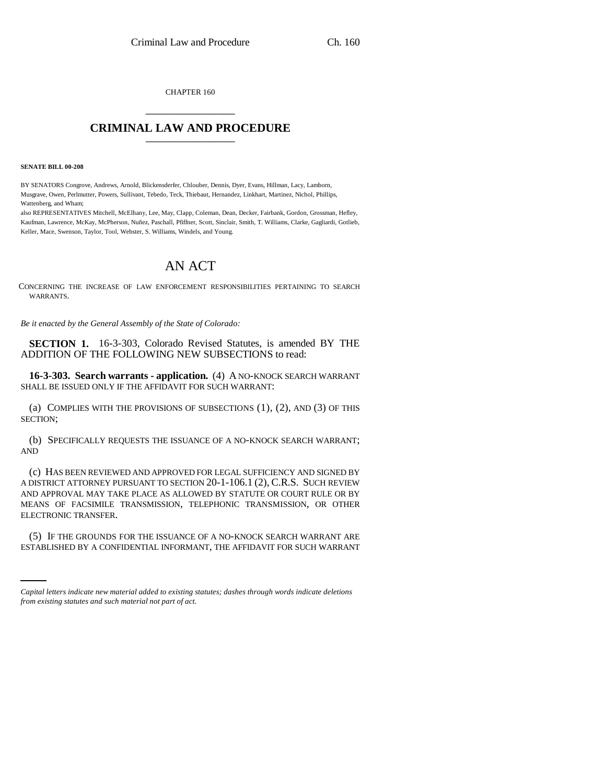CHAPTER 160 \_\_\_\_\_\_\_\_\_\_\_\_\_\_\_

## **CRIMINAL LAW AND PROCEDURE** \_\_\_\_\_\_\_\_\_\_\_\_\_\_\_

**SENATE BILL 00-208** 

BY SENATORS Congrove, Andrews, Arnold, Blickensderfer, Chlouber, Dennis, Dyer, Evans, Hillman, Lacy, Lamborn, Musgrave, Owen, Perlmutter, Powers, Sullivant, Tebedo, Teck, Thiebaut, Hernandez, Linkhart, Martinez, Nichol, Phillips, Wattenberg, and Wham;

also REPRESENTATIVES Mitchell, McElhany, Lee, May, Clapp, Coleman, Dean, Decker, Fairbank, Gordon, Grossman, Hefley, Kaufman, Lawrence, McKay, McPherson, Nuñez, Paschall, Pfiffner, Scott, Sinclair, Smith, T. Williams, Clarke, Gagliardi, Gotlieb, Keller, Mace, Swenson, Taylor, Tool, Webster, S. Williams, Windels, and Young.

## AN ACT

CONCERNING THE INCREASE OF LAW ENFORCEMENT RESPONSIBILITIES PERTAINING TO SEARCH WARRANTS.

*Be it enacted by the General Assembly of the State of Colorado:*

**SECTION 1.** 16-3-303, Colorado Revised Statutes, is amended BY THE ADDITION OF THE FOLLOWING NEW SUBSECTIONS to read:

**16-3-303. Search warrants - application.** (4) A NO-KNOCK SEARCH WARRANT SHALL BE ISSUED ONLY IF THE AFFIDAVIT FOR SUCH WARRANT:

(a) COMPLIES WITH THE PROVISIONS OF SUBSECTIONS (1), (2), AND (3) OF THIS SECTION;

(b) SPECIFICALLY REQUESTS THE ISSUANCE OF A NO-KNOCK SEARCH WARRANT; AND

(c) HAS BEEN REVIEWED AND APPROVED FOR LEGAL SUFFICIENCY AND SIGNED BY A DISTRICT ATTORNEY PURSUANT TO SECTION 20-1-106.1 (2), C.R.S. SUCH REVIEW AND APPROVAL MAY TAKE PLACE AS ALLOWED BY STATUTE OR COURT RULE OR BY MEANS OF FACSIMILE TRANSMISSION, TELEPHONIC TRANSMISSION, OR OTHER ELECTRONIC TRANSFER.

(5) IF THE GROUNDS FOR THE ISSUANCE OF A NO-KNOCK SEARCH WARRANT ARE ESTABLISHED BY A CONFIDENTIAL INFORMANT, THE AFFIDAVIT FOR SUCH WARRANT

*Capital letters indicate new material added to existing statutes; dashes through words indicate deletions from existing statutes and such material not part of act.*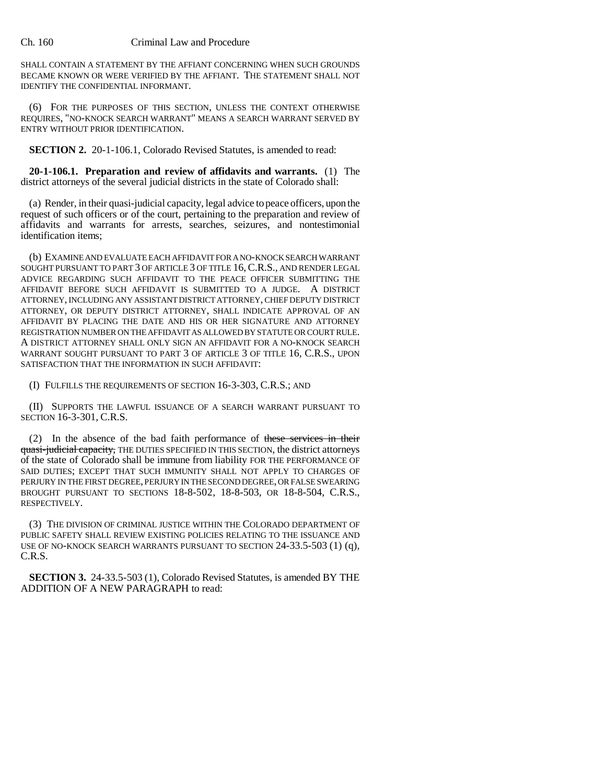## Ch. 160 Criminal Law and Procedure

SHALL CONTAIN A STATEMENT BY THE AFFIANT CONCERNING WHEN SUCH GROUNDS BECAME KNOWN OR WERE VERIFIED BY THE AFFIANT. THE STATEMENT SHALL NOT IDENTIFY THE CONFIDENTIAL INFORMANT.

(6) FOR THE PURPOSES OF THIS SECTION, UNLESS THE CONTEXT OTHERWISE REQUIRES, "NO-KNOCK SEARCH WARRANT" MEANS A SEARCH WARRANT SERVED BY ENTRY WITHOUT PRIOR IDENTIFICATION.

**SECTION 2.** 20-1-106.1, Colorado Revised Statutes, is amended to read:

**20-1-106.1. Preparation and review of affidavits and warrants.** (1) The district attorneys of the several judicial districts in the state of Colorado shall:

(a) Render, in their quasi-judicial capacity, legal advice to peace officers, upon the request of such officers or of the court, pertaining to the preparation and review of affidavits and warrants for arrests, searches, seizures, and nontestimonial identification items;

(b) EXAMINE AND EVALUATE EACH AFFIDAVIT FOR A NO-KNOCK SEARCH WARRANT SOUGHT PURSUANT TO PART 3 OF ARTICLE 3 OF TITLE 16, C.R.S., AND RENDER LEGAL ADVICE REGARDING SUCH AFFIDAVIT TO THE PEACE OFFICER SUBMITTING THE AFFIDAVIT BEFORE SUCH AFFIDAVIT IS SUBMITTED TO A JUDGE. A DISTRICT ATTORNEY, INCLUDING ANY ASSISTANT DISTRICT ATTORNEY, CHIEF DEPUTY DISTRICT ATTORNEY, OR DEPUTY DISTRICT ATTORNEY, SHALL INDICATE APPROVAL OF AN AFFIDAVIT BY PLACING THE DATE AND HIS OR HER SIGNATURE AND ATTORNEY REGISTRATION NUMBER ON THE AFFIDAVIT AS ALLOWED BY STATUTE OR COURT RULE. A DISTRICT ATTORNEY SHALL ONLY SIGN AN AFFIDAVIT FOR A NO-KNOCK SEARCH WARRANT SOUGHT PURSUANT TO PART 3 OF ARTICLE 3 OF TITLE 16, C.R.S., UPON SATISFACTION THAT THE INFORMATION IN SUCH AFFIDAVIT:

(I) FULFILLS THE REQUIREMENTS OF SECTION 16-3-303, C.R.S.; AND

(II) SUPPORTS THE LAWFUL ISSUANCE OF A SEARCH WARRANT PURSUANT TO SECTION 16-3-301, C.R.S.

(2) In the absence of the bad faith performance of these services in their quasi-judicial capacity, THE DUTIES SPECIFIED IN THIS SECTION, the district attorneys of the state of Colorado shall be immune from liability FOR THE PERFORMANCE OF SAID DUTIES; EXCEPT THAT SUCH IMMUNITY SHALL NOT APPLY TO CHARGES OF PERJURY IN THE FIRST DEGREE, PERJURY IN THE SECOND DEGREE, OR FALSE SWEARING BROUGHT PURSUANT TO SECTIONS 18-8-502, 18-8-503, OR 18-8-504, C.R.S., RESPECTIVELY.

(3) THE DIVISION OF CRIMINAL JUSTICE WITHIN THE COLORADO DEPARTMENT OF PUBLIC SAFETY SHALL REVIEW EXISTING POLICIES RELATING TO THE ISSUANCE AND USE OF NO-KNOCK SEARCH WARRANTS PURSUANT TO SECTION 24-33.5-503 (1) (q), C.R.S.

**SECTION 3.** 24-33.5-503 (1), Colorado Revised Statutes, is amended BY THE ADDITION OF A NEW PARAGRAPH to read: